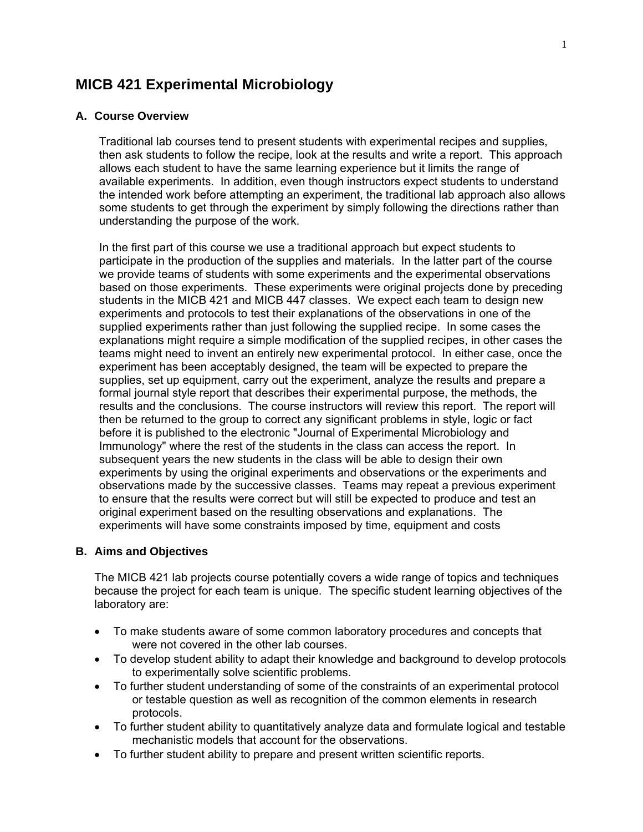# **MICB 421 Experimental Microbiology**

#### **A. Course Overview**

Traditional lab courses tend to present students with experimental recipes and supplies, then ask students to follow the recipe, look at the results and write a report. This approach allows each student to have the same learning experience but it limits the range of available experiments. In addition, even though instructors expect students to understand the intended work before attempting an experiment, the traditional lab approach also allows some students to get through the experiment by simply following the directions rather than understanding the purpose of the work.

In the first part of this course we use a traditional approach but expect students to participate in the production of the supplies and materials. In the latter part of the course we provide teams of students with some experiments and the experimental observations based on those experiments. These experiments were original projects done by preceding students in the MICB 421 and MICB 447 classes. We expect each team to design new experiments and protocols to test their explanations of the observations in one of the supplied experiments rather than just following the supplied recipe. In some cases the explanations might require a simple modification of the supplied recipes, in other cases the teams might need to invent an entirely new experimental protocol. In either case, once the experiment has been acceptably designed, the team will be expected to prepare the supplies, set up equipment, carry out the experiment, analyze the results and prepare a formal journal style report that describes their experimental purpose, the methods, the results and the conclusions. The course instructors will review this report. The report will then be returned to the group to correct any significant problems in style, logic or fact before it is published to the electronic "Journal of Experimental Microbiology and Immunology" where the rest of the students in the class can access the report. In subsequent years the new students in the class will be able to design their own experiments by using the original experiments and observations or the experiments and observations made by the successive classes. Teams may repeat a previous experiment to ensure that the results were correct but will still be expected to produce and test an original experiment based on the resulting observations and explanations. The experiments will have some constraints imposed by time, equipment and costs

## **B. Aims and Objectives**

The MICB 421 lab projects course potentially covers a wide range of topics and techniques because the project for each team is unique. The specific student learning objectives of the laboratory are:

- To make students aware of some common laboratory procedures and concepts that were not covered in the other lab courses.
- To develop student ability to adapt their knowledge and background to develop protocols to experimentally solve scientific problems.
- To further student understanding of some of the constraints of an experimental protocol or testable question as well as recognition of the common elements in research protocols.
- To further student ability to quantitatively analyze data and formulate logical and testable mechanistic models that account for the observations.
- To further student ability to prepare and present written scientific reports.